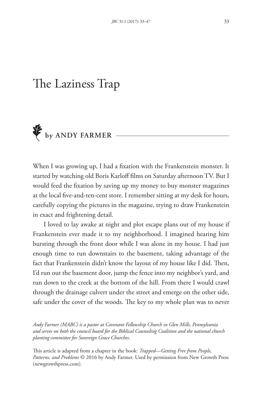# The Laziness Trap



When I was growing up, I had a fixation with the Frankenstein monster. It started by watching old Boris Karloff films on Saturday afternoon TV. But I would feed the fixation by saving up my money to buy monster magazines at the local five-and-ten-cent store. I remember sitting at my desk for hours, carefully copying the pictures in the magazine, trying to draw Frankenstein in exact and frightening detail.

I loved to lay awake at night and plot escape plans out of my house if Frankenstein ever made it to my neighborhood. I imagined hearing him bursting through the front door while I was alone in my house. I had just enough time to run downstairs to the basement, taking advantage of the fact that Frankenstein didn't know the layout of my house like I did. Then, I'd run out the basement door, jump the fence into my neighbor's yard, and run down to the creek at the bottom of the hill. From there I would crawl through the drainage culvert under the street and emerge on the other side, safe under the cover of the woods. The key to my whole plan was to never

*Andy Farmer (MABC) is a pastor at Covenant Fellowship Church in Glen Mills, Pennsylvania and serves on both the council board for the Biblical Counseling Coalition and the national church planting committee for Sovereign Grace Churches.* 

This article is adapted from a chapter in the book: *Trapped—Getting Free from People, Patterns, and Problems* © 2016 by Andy Farmer. Used by permission from New Growth Press (newgrowthpress.com).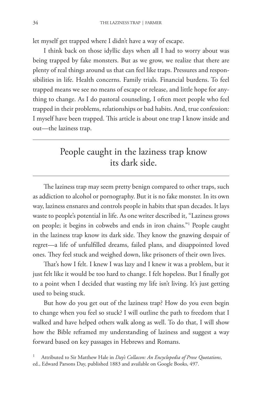let myself get trapped where I didn't have a way of escape.

I think back on those idyllic days when all I had to worry about was being trapped by fake monsters. But as we grow, we realize that there are plenty of real things around us that can feel like traps. Pressures and responsibilities in life. Health concerns. Family trials. Financial burdens. To feel trapped means we see no means of escape or release, and little hope for anything to change. As I do pastoral counseling, I often meet people who feel trapped in their problems, relationships or bad habits. And, true confession: I myself have been trapped. This article is about one trap I know inside and out—the laziness trap.

### People caught in the laziness trap know its dark side.

The laziness trap may seem pretty benign compared to other traps, such as addiction to alcohol or pornography. But it is no fake monster. In its own way, laziness ensnares and controls people in habits that span decades. It lays waste to people's potential in life. As one writer described it, "Laziness grows on people; it begins in cobwebs and ends in iron chains."1 People caught in the laziness trap know its dark side. They know the gnawing despair of regret—a life of unfulfilled dreams, failed plans, and disappointed loved ones. They feel stuck and weighed down, like prisoners of their own lives.

That's how I felt. I knew I was lazy and I knew it was a problem, but it just felt like it would be too hard to change. I felt hopeless. But I finally got to a point when I decided that wasting my life isn't living. It's just getting used to being stuck.

But how do you get out of the laziness trap? How do you even begin to change when you feel so stuck? I will outline the path to freedom that I walked and have helped others walk along as well. To do that, I will show how the Bible reframed my understanding of laziness and suggest a way forward based on key passages in Hebrews and Romans.

1 Attributed to Sir Matthew Hale in *Day's Collacon: An Encyclopedia of Prose Quotations*, ed., Edward Parsons Day, published 1883 and available on Google Books, 497.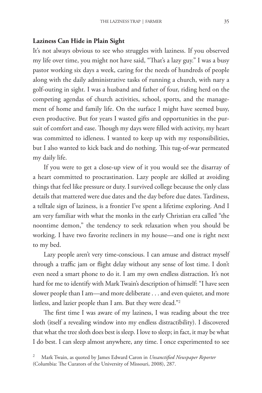#### **Laziness Can Hide in Plain Sight**

It's not always obvious to see who struggles with laziness. If you observed my life over time, you might not have said, "That's a lazy guy." I was a busy pastor working six days a week, caring for the needs of hundreds of people along with the daily administrative tasks of running a church, with nary a golf-outing in sight. I was a husband and father of four, riding herd on the competing agendas of church activities, school, sports, and the management of home and family life. On the surface I might have seemed busy, even productive. But for years I wasted gifts and opportunities in the pursuit of comfort and ease. Though my days were filled with activity, my heart was committed to idleness. I wanted to keep up with my responsibilities, but I also wanted to kick back and do nothing. This tug-of-war permeated my daily life.

If you were to get a close-up view of it you would see the disarray of a heart committed to procrastination. Lazy people are skilled at avoiding things that feel like pressure or duty. I survived college because the only class details that mattered were due dates and the day before due dates. Tardiness, a telltale sign of laziness, is a frontier I've spent a lifetime exploring. And I am very familiar with what the monks in the early Christian era called "the noontime demon," the tendency to seek relaxation when you should be working. I have two favorite recliners in my house—and one is right next to my bed.

Lazy people aren't very time-conscious. I can amuse and distract myself through a traffic jam or flight delay without any sense of lost time. I don't even need a smart phone to do it. I am my own endless distraction. It's not hard for me to identify with Mark Twain's description of himself: "I have seen slower people than I am—and more deliberate . . . and even quieter, and more listless, and lazier people than I am. But they were dead."2

The first time I was aware of my laziness, I was reading about the tree sloth (itself a revealing window into my endless distractibility). I discovered that what the tree sloth does best is sleep. I love to sleep; in fact, it may be what I do best. I can sleep almost anywhere, any time. I once experimented to see

<sup>2</sup> Mark Twain, as quoted by James Edward Caron in *Unsanctified Newspaper Reporter* (Columbia: The Curators of the University of Missouri, 2008), 287.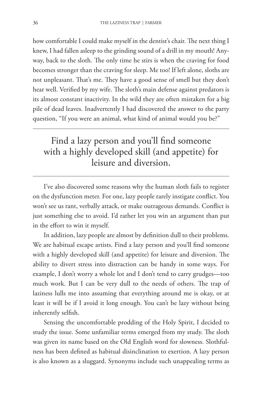how comfortable I could make myself in the dentist's chair. The next thing I knew, I had fallen asleep to the grinding sound of a drill in my mouth! Anyway, back to the sloth. The only time he stirs is when the craving for food becomes stronger than the craving for sleep. Me too! If left alone, sloths are not unpleasant. That's me. They have a good sense of smell but they don't hear well. Verified by my wife. The sloth's main defense against predators is its almost constant inactivity. In the wild they are often mistaken for a big pile of dead leaves. Inadvertently I had discovered the answer to the party question, "If you were an animal, what kind of animal would you be?"

### Find a lazy person and you'll find someone with a highly developed skill (and appetite) for leisure and diversion.

I've also discovered some reasons why the human sloth fails to register on the dysfunction meter. For one, lazy people rarely instigate conflict. You won't see us rant, verbally attack, or make outrageous demands. Conflict is just something else to avoid. I'd rather let you win an argument than put in the effort to win it myself.

In addition, lazy people are almost by definition dull to their problems. We are habitual escape artists. Find a lazy person and you'll find someone with a highly developed skill (and appetite) for leisure and diversion. The ability to divert stress into distraction can be handy in some ways. For example, I don't worry a whole lot and I don't tend to carry grudges—too much work. But I can be very dull to the needs of others. The trap of laziness lulls me into assuming that everything around me is okay, or at least it will be if I avoid it long enough. You can't be lazy without being inherently selfish.

Sensing the uncomfortable prodding of the Holy Spirit, I decided to study the issue. Some unfamiliar terms emerged from my study. The sloth was given its name based on the Old English word for slowness. Slothfulness has been defined as habitual disinclination to exertion. A lazy person is also known as a sluggard. Synonyms include such unappealing terms as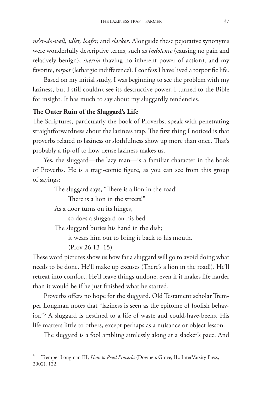*ne'er-do-well, idler, loafer,* and *slacker*. Alongside these pejorative synonyms were wonderfully descriptive terms, such as *indolence* (causing no pain and relatively benign), *inertia* (having no inherent power of action), and my favorite, *torpor* (lethargic indifference). I confess I have lived a torporific life.

Based on my initial study, I was beginning to see the problem with my laziness, but I still couldn't see its destructive power. I turned to the Bible for insight. It has much to say about my sluggardly tendencies.

#### **The Outer Ruin of the Sluggard's Life**

The Scriptures, particularly the book of Proverbs, speak with penetrating straightforwardness about the laziness trap. The first thing I noticed is that proverbs related to laziness or slothfulness show up more than once. That's probably a tip-off to how dense laziness makes us.

Yes, the sluggard—the lazy man—is a familiar character in the book of Proverbs. He is a tragi-comic figure, as you can see from this group of sayings:

The sluggard says, "There is a lion in the road!

There is a lion in the streets!"

As a door turns on its hinges,

so does a sluggard on his bed.

The sluggard buries his hand in the dish;

it wears him out to bring it back to his mouth.

(Prov 26:13–15)

These word pictures show us how far a sluggard will go to avoid doing what needs to be done. He'll make up excuses (There's a lion in the road!). He'll retreat into comfort. He'll leave things undone, even if it makes life harder than it would be if he just finished what he started.

Proverbs offers no hope for the sluggard. Old Testament scholar Tremper Longman notes that "laziness is seen as the epitome of foolish behavior."3 A sluggard is destined to a life of waste and could-have-beens. His life matters little to others, except perhaps as a nuisance or object lesson.

The sluggard is a fool ambling aimlessly along at a slacker's pace. And

<sup>3</sup> Tremper Longman III, *How to Read Proverbs* (Downers Grove, IL: InterVarsity Press, 2002), 122.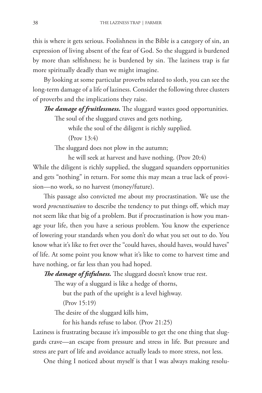this is where it gets serious. Foolishness in the Bible is a category of sin, an expression of living absent of the fear of God. So the sluggard is burdened by more than selfishness; he is burdened by sin. The laziness trap is far more spiritually deadly than we might imagine.

By looking at some particular proverbs related to sloth, you can see the long-term damage of a life of laziness. Consider the following three clusters of proverbs and the implications they raise.

*The damage of fruitlessness.* The sluggard wastes good opportunities.

The soul of the sluggard craves and gets nothing,

while the soul of the diligent is richly supplied.

(Prov 13:4)

The sluggard does not plow in the autumn;

he will seek at harvest and have nothing. (Prov 20:4)

While the diligent is richly supplied, the sluggard squanders opportunities and gets "nothing" in return. For some this may mean a true lack of provision—no work, so no harvest (money/future).

This passage also convicted me about my procrastination. We use the word *procrastination* to describe the tendency to put things off, which may not seem like that big of a problem. But if procrastination is how you manage your life, then you have a serious problem. You know the experience of lowering your standards when you don't do what you set out to do. You know what it's like to fret over the "could haves, should haves, would haves" of life. At some point you know what it's like to come to harvest time and have nothing, or far less than you had hoped.

*The damage of fitfulness.* The sluggard doesn't know true rest.

The way of a sluggard is like a hedge of thorns,

but the path of the upright is a level highway.

(Prov 15:19)

The desire of the sluggard kills him,

for his hands refuse to labor. (Prov 21:25)

Laziness is frustrating because it's impossible to get the one thing that sluggards crave—an escape from pressure and stress in life. But pressure and stress are part of life and avoidance actually leads to more stress, not less.

One thing I noticed about myself is that I was always making resolu-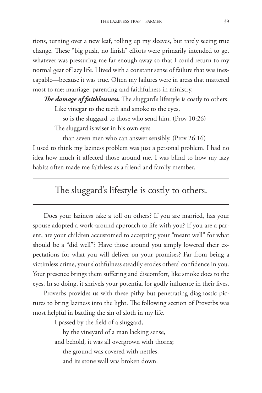tions, turning over a new leaf, rolling up my sleeves, but rarely seeing true change. These "big push, no finish" efforts were primarily intended to get whatever was pressuring me far enough away so that I could return to my normal gear of lazy life. I lived with a constant sense of failure that was inescapable—because it was true. Often my failures were in areas that mattered most to me: marriage, parenting and faithfulness in ministry.

*The damage of faithlessness.* The sluggard's lifestyle is costly to others. Like vinegar to the teeth and smoke to the eyes,

so is the sluggard to those who send him. (Prov 10:26)

The sluggard is wiser in his own eyes

than seven men who can answer sensibly. (Prov 26:16)

I used to think my laziness problem was just a personal problem. I had no idea how much it affected those around me. I was blind to how my lazy habits often made me faithless as a friend and family member.

### The sluggard's lifestyle is costly to others.

Does your laziness take a toll on others? If you are married, has your spouse adopted a work-around approach to life with you? If you are a parent, are your children accustomed to accepting your "meant well" for what should be a "did well"? Have those around you simply lowered their expectations for what you will deliver on your promises? Far from being a victimless crime, your slothfulness steadily erodes others' confidence in you. Your presence brings them suffering and discomfort, like smoke does to the eyes. In so doing, it shrivels your potential for godly influence in their lives.

Proverbs provides us with these pithy but penetrating diagnostic pictures to bring laziness into the light. The following section of Proverbs was most helpful in battling the sin of sloth in my life.

I passed by the field of a sluggard,

by the vineyard of a man lacking sense, and behold, it was all overgrown with thorns; the ground was covered with nettles, and its stone wall was broken down.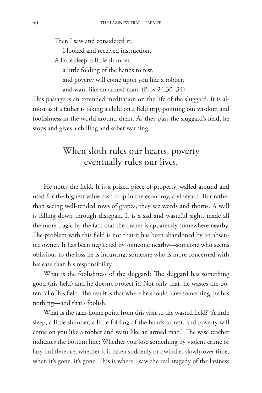Then I saw and considered it; I looked and received instruction. A little sleep, a little slumber, a little folding of the hands to rest, and poverty will come upon you like a robber, and want like an armed man. (Prov 24:30–34)

This passage is an extended meditation on the life of the sluggard. It is almost as if a father is taking a child on a field trip, pointing out wisdom and foolishness in the world around them. As they pass the sluggard's field, he stops and gives a chilling and sober warning.

### When sloth rules our hearts, poverty eventually rules our lives.

He notes the field. It is a prized piece of property, walled around and used for the highest value cash crop in the economy, a vineyard. But rather than seeing well-tended rows of grapes, they see weeds and thorns. A wall is falling down through disrepair. It is a sad and wasteful sight, made all the more tragic by the fact that the owner is apparently somewhere nearby. The problem with this field is not that it has been abandoned by an absentee owner. It has been neglected by someone nearby—someone who seems oblivious to the loss he is incurring, someone who is more concerned with his ease than his responsibility.

What is the foolishness of the sluggard? The sluggard has something good (his field) and he doesn't protect it. Not only that, he wastes the potential of his field. The result is that where he should have something, he has nothing—and that's foolish.

What is the take-home point from this visit to the wasted field? "A little sleep, a little slumber, a little folding of the hands to rest, and poverty will come on you like a robber and want like an armed man." The wise teacher indicates the bottom line: Whether you lose something by violent crime or lazy indifference, whether it is taken suddenly or dwindles slowly over time, when it's gone, it's gone. This is where I saw the real tragedy of the laziness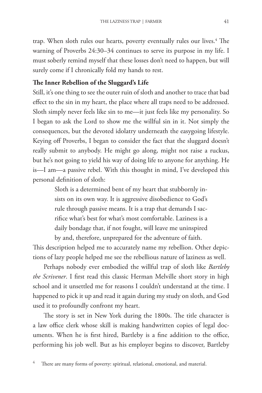trap. When sloth rules our hearts, poverty eventually rules our lives.<sup>4</sup> The warning of Proverbs 24:30–34 continues to serve its purpose in my life. I must soberly remind myself that these losses don't need to happen, but will surely come if I chronically fold my hands to rest.

#### **The Inner Rebellion of the Sluggard's Life**

Still, it's one thing to see the outer ruin of sloth and another to trace that bad effect to the sin in my heart, the place where all traps need to be addressed. Sloth simply never feels like sin to me—it just feels like my personality. So I began to ask the Lord to show me the willful sin in it. Not simply the consequences, but the devoted idolatry underneath the easygoing lifestyle. Keying off Proverbs, I began to consider the fact that the sluggard doesn't really submit to anybody. He might go along, might not raise a ruckus, but he's not going to yield his way of doing life to anyone for anything. He is—I am—a passive rebel. With this thought in mind, I've developed this personal definition of sloth:

> Sloth is a determined bent of my heart that stubbornly insists on its own way. It is aggressive disobedience to God's rule through passive means. It is a trap that demands I sacrifice what's best for what's most comfortable. Laziness is a daily bondage that, if not fought, will leave me uninspired by and, therefore, unprepared for the adventure of faith.

This description helped me to accurately name my rebellion. Other depictions of lazy people helped me see the rebellious nature of laziness as well.

Perhaps nobody ever embodied the willful trap of sloth like *Bartleby the Scrivener*. I first read this classic Herman Melville short story in high school and it unsettled me for reasons I couldn't understand at the time. I happened to pick it up and read it again during my study on sloth, and God used it to profoundly confront my heart.

The story is set in New York during the 1800s. The title character is a law office clerk whose skill is making handwritten copies of legal documents. When he is first hired, Bartleby is a fine addition to the office, performing his job well. But as his employer begins to discover, Bartleby

There are many forms of poverty: spiritual, relational, emotional, and material.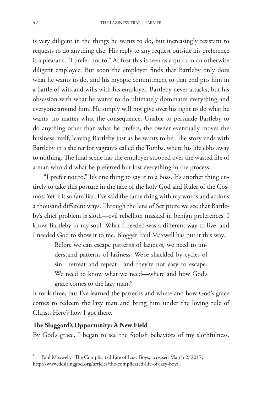is very diligent in the things he wants to do, but increasingly resistant to requests to do anything else. His reply to any request outside his preference is a pleasant, "I prefer not to." At first this is seen as a quirk in an otherwise diligent employee. But soon the employer finds that Bartleby only does what he wants to do, and his myopic commitment to that end pits him in a battle of wits and wills with his employer. Bartleby never attacks, but his obsession with what he wants to do ultimately dominates everything and everyone around him. He simply will not give over his right to do what he wants, no matter what the consequence. Unable to persuade Bartleby to do anything other than what he prefers, the owner eventually moves the business itself, leaving Bartleby just as he wants to be. The story ends with Bartleby in a shelter for vagrants called the Tombs, where his life ebbs away to nothing. The final scene has the employer stooped over the wasted life of a man who did what he preferred but lost everything in the process.

"I prefer not to." It's one thing to say it to a boss. It's another thing entirely to take this posture in the face of the holy God and Ruler of the Cosmos. Yet it is so familiar; I've said the same thing with my words and actions a thousand different ways. Through the lens of Scripture we see that Bartleby's chief problem is sloth—evil rebellion masked in benign preferences. I know Bartleby in my soul. What I needed was a different way to live, and I needed God to show it to me. Blogger Paul Maxwell has put it this way.

> Before we can escape patterns of laziness, we need to understand patterns of laziness: We're shackled by cycles of sin—retreat and repeat—and they're not easy to escape. We need to know what we need—where and how God's grace comes to the lazy man.<sup>5</sup>

It took time, but I've learned the patterns and where and how God's grace comes to redeem the lazy man and bring him under the loving rule of Christ. Here's how I got there.

#### **The Sluggard's Opportunity: A New Field**

By God's grace, I began to see the foolish behaviors of my slothfulness.

Paul Maxwell, "The Complicated Life of Lazy Boys, accessed March 2, 2017, http://www.desiringgod.org/articles/the-complicated-life-of-lazy-boys.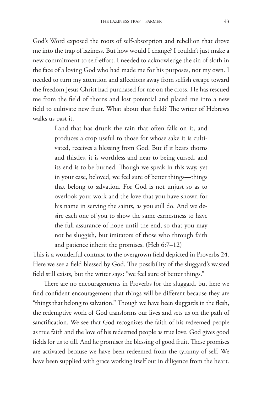God's Word exposed the roots of self-absorption and rebellion that drove me into the trap of laziness. But how would I change? I couldn't just make a new commitment to self-effort. I needed to acknowledge the sin of sloth in the face of a loving God who had made me for his purposes, not my own. I needed to turn my attention and affections away from selfish escape toward the freedom Jesus Christ had purchased for me on the cross. He has rescued me from the field of thorns and lost potential and placed me into a new field to cultivate new fruit. What about that field? The writer of Hebrews walks us past it.

> Land that has drunk the rain that often falls on it, and produces a crop useful to those for whose sake it is cultivated, receives a blessing from God. But if it bears thorns and thistles, it is worthless and near to being cursed, and its end is to be burned. Though we speak in this way, yet in your case, beloved, we feel sure of better things—things that belong to salvation. For God is not unjust so as to overlook your work and the love that you have shown for his name in serving the saints, as you still do. And we desire each one of you to show the same earnestness to have the full assurance of hope until the end, so that you may not be sluggish, but imitators of those who through faith and patience inherit the promises. (Heb 6:7–12)

This is a wonderful contrast to the overgrown field depicted in Proverbs 24. Here we see a field blessed by God. The possibility of the sluggard's wasted field still exists, but the writer says: "we feel sure of better things."

There are no encouragements in Proverbs for the sluggard, but here we find confident encouragement that things will be different because they are "things that belong to salvation." Though we have been sluggards in the flesh, the redemptive work of God transforms our lives and sets us on the path of sanctification. We see that God recognizes the faith of his redeemed people as true faith and the love of his redeemed people as true love. God gives good fields for us to till. And he promises the blessing of good fruit. These promises are activated because we have been redeemed from the tyranny of self. We have been supplied with grace working itself out in diligence from the heart.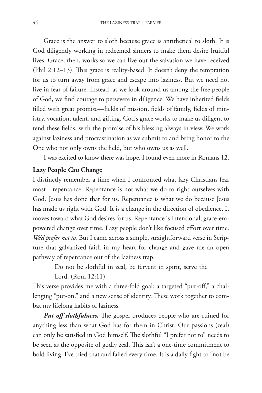Grace is the answer to sloth because grace is antithetical to sloth. It is God diligently working in redeemed sinners to make them desire fruitful lives. Grace, then, works so we can live out the salvation we have received (Phil 2:12–13). This grace is reality-based. It doesn't deny the temptation for us to turn away from grace and escape into laziness. But we need not live in fear of failure. Instead, as we look around us among the free people of God, we find courage to persevere in diligence. We have inherited fields filled with great promise—fields of mission, fields of family, fields of ministry, vocation, talent, and gifting. God's grace works to make us diligent to tend these fields, with the promise of his blessing always in view. We work against laziness and procrastination as we submit to and bring honor to the One who not only owns the field, but who owns us as well.

I was excited to know there was hope. I found even more in Romans 12.

#### **Lazy People** *Can* **Change**

I distinctly remember a time when I confronted what lazy Christians fear most—repentance. Repentance is not what we do to right ourselves with God. Jesus has done that for us. Repentance is what we do because Jesus has made us right with God. It is a change in the direction of obedience. It moves toward what God desires for us. Repentance is intentional, grace-empowered change over time. Lazy people don't like focused effort over time. *We'd prefer not to.* But I came across a simple, straightforward verse in Scripture that galvanized faith in my heart for change and gave me an open pathway of repentance out of the laziness trap.

Do not be slothful in zeal, be fervent in spirit, serve the

Lord. (Rom 12:11)

This verse provides me with a three-fold goal: a targeted "put-off," a challenging "put-on," and a new sense of identity. These work together to combat my lifelong habits of laziness.

*Put off slothfulness.* The gospel produces people who are ruined for anything less than what God has for them in Christ. Our passions (zeal) can only be satisfied in God himself. The slothful "I prefer not to" needs to be seen as the opposite of godly zeal. This isn't a one-time commitment to bold living. I've tried that and failed every time. It is a daily fight to "not be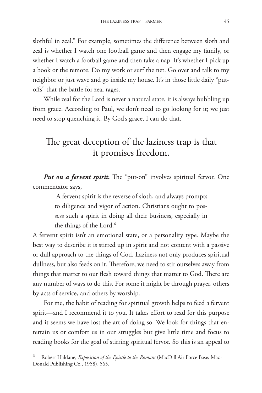slothful in zeal." For example, sometimes the difference between sloth and zeal is whether I watch one football game and then engage my family, or whether I watch a football game and then take a nap. It's whether I pick up a book or the remote. Do my work or surf the net. Go over and talk to my neighbor or just wave and go inside my house. It's in those little daily "putoffs" that the battle for zeal rages.

While zeal for the Lord is never a natural state, it is always bubbling up from grace. According to Paul, we don't need to go looking for it; we just need to stop quenching it. By God's grace, I can do that.

### The great deception of the laziness trap is that it promises freedom.

*Put on a fervent spirit.* The "put-on" involves spiritual fervor. One commentator says,

> A fervent spirit is the reverse of sloth, and always prompts to diligence and vigor of action. Christians ought to possess such a spirit in doing all their business, especially in the things of the Lord.<sup>6</sup>

A fervent spirit isn't an emotional state, or a personality type. Maybe the best way to describe it is stirred up in spirit and not content with a passive or dull approach to the things of God. Laziness not only produces spiritual dullness, but also feeds on it. Therefore, we need to stir ourselves away from things that matter to our flesh toward things that matter to God. There are any number of ways to do this. For some it might be through prayer, others by acts of service, and others by worship.

For me, the habit of reading for spiritual growth helps to feed a fervent spirit—and I recommend it to you. It takes effort to read for this purpose and it seems we have lost the art of doing so. We look for things that entertain us or comfort us in our struggles but give little time and focus to reading books for the goal of stirring spiritual fervor. So this is an appeal to

<sup>6</sup> Robert Haldane, *Exposition of the Epistle to the Romans* (MacDill Air Force Base: Mac-Donald Publishing Co., 1958), 565.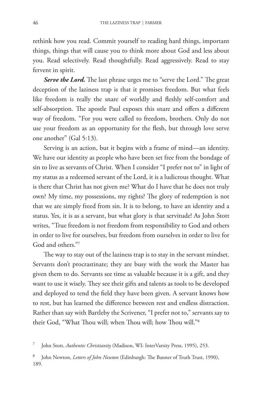rethink how you read. Commit yourself to reading hard things, important things, things that will cause you to think more about God and less about you. Read selectively. Read thoughtfully. Read aggressively. Read to stay fervent in spirit.

*Serve the Lord*. The last phrase urges me to "serve the Lord." The great deception of the laziness trap is that it promises freedom. But what feels like freedom is really the snare of worldly and fleshly self-comfort and self-absorption. The apostle Paul exposes this snare and offers a different way of freedom. "For you were called to freedom, brothers. Only do not use your freedom as an opportunity for the flesh, but through love serve one another" (Gal 5:13).

Serving is an action, but it begins with a frame of mind—an identity. We have our identity as people who have been set free from the bondage of sin to live as servants of Christ. When I consider "I prefer not to" in light of my status as a redeemed servant of the Lord, it is a ludicrous thought. What is there that Christ has not given me? What do I have that he does not truly own? My time, my possessions, my rights? The glory of redemption is not that we are simply freed from sin. It is to belong, to have an identity and a status. Yes, it is as a servant, but what glory is that servitude! As John Stott writes, "True freedom is not freedom from responsibility to God and others in order to live for ourselves, but freedom from ourselves in order to live for God and others."7

The way to stay out of the laziness trap is to stay in the servant mindset. Servants don't procrastinate; they are busy with the work the Master has given them to do. Servants see time as valuable because it is a gift, and they want to use it wisely. They see their gifts and talents as tools to be developed and deployed to tend the field they have been given. A servant knows how to rest, but has learned the difference between rest and endless distraction. Rather than say with Bartleby the Scrivener, "I prefer not to," servants say to their God, "What Thou will; when Thou will; how Thou will."8

<sup>7</sup> John Stott, *Authentic Christianity* (Madison, WI: InterVarsity Press, 1995), 253.

<sup>8</sup> John Newton, *Letters of John Newton* (Edinburgh: The Banner of Truth Trust, 1990), 189.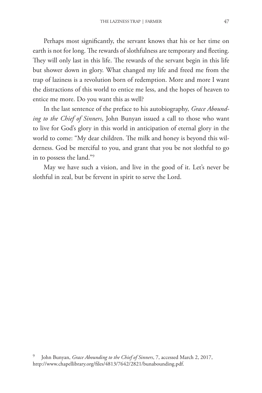Perhaps most significantly, the servant knows that his or her time on earth is not for long. The rewards of slothfulness are temporary and fleeting. They will only last in this life. The rewards of the servant begin in this life but shower down in glory. What changed my life and freed me from the trap of laziness is a revolution born of redemption. More and more I want the distractions of this world to entice me less, and the hopes of heaven to entice me more. Do you want this as well?

In the last sentence of the preface to his autobiography, *Grace Abounding to the Chief of Sinners*, John Bunyan issued a call to those who want to live for God's glory in this world in anticipation of eternal glory in the world to come: "My dear children. The milk and honey is beyond this wilderness. God be merciful to you, and grant that you be not slothful to go in to possess the land."9

May we have such a vision, and live in the good of it. Let's never be slothful in zeal, but be fervent in spirit to serve the Lord.

9 John Bunyan, *Grace Abounding to the Chief of Sinners*, 7, accessed March 2, 2017, http://www.chapellibrary.org/files/4813/7642/2821/bunabounding.pdf.